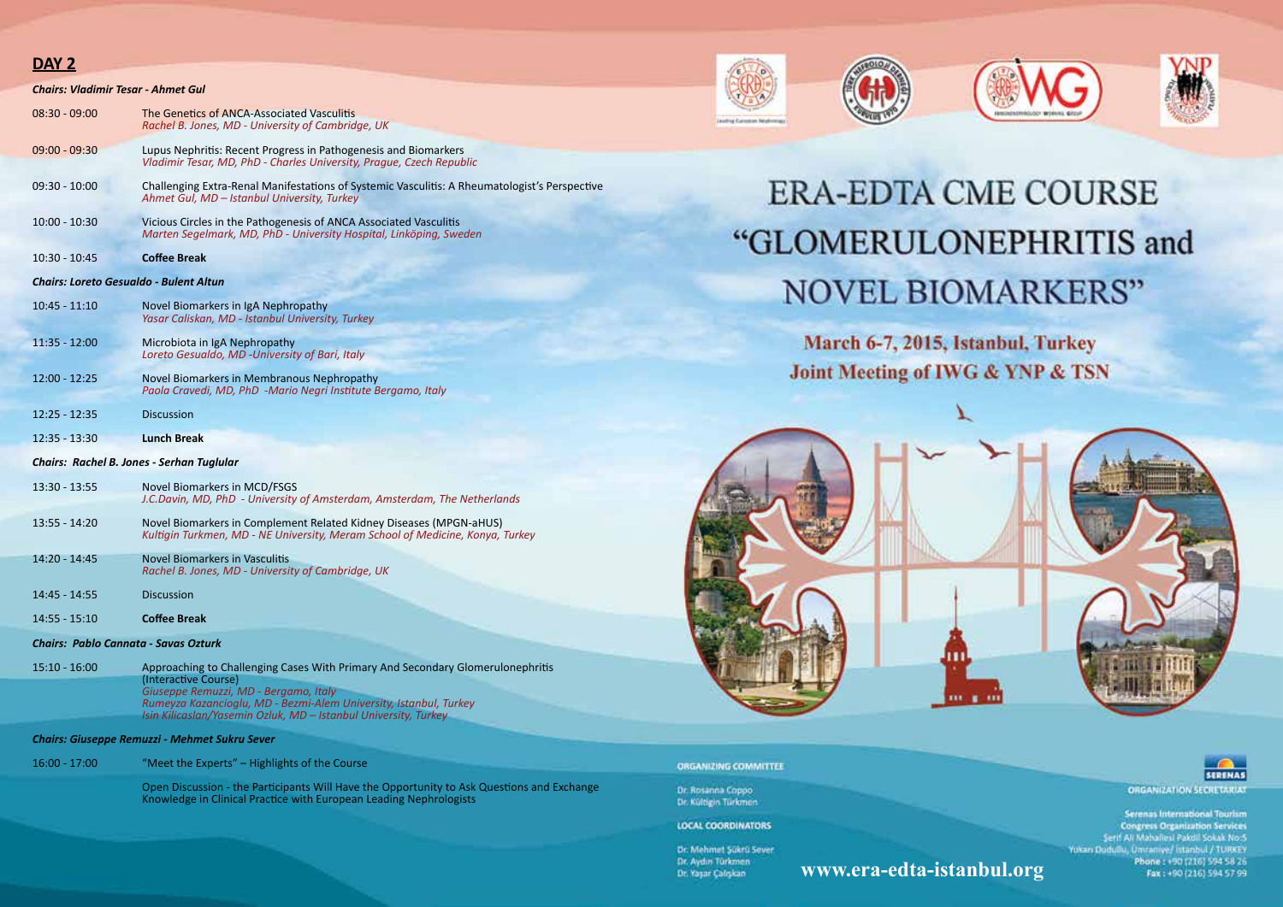## DAY<sub>2</sub>

| Chairs: Vladimir Tesar - Ahmet Gul                   |                                                                                                                                                                               |
|------------------------------------------------------|-------------------------------------------------------------------------------------------------------------------------------------------------------------------------------|
| 08:30 - 09:00                                        | The Genetics of ANCA-Associated Vasculitis<br>Rachel B. Jones, MD - University of Cambridge, UK                                                                               |
| $09:00 - 09:30$                                      | Lupus Nephritis: Recent Progress in Pathogenesis and Biomarkers<br>Vladimir Tesar, MD, PhD - Charles University, Prague, Czech Republic                                       |
| $09:30 - 10:00$                                      | Challenging Extra-Renal Manifestations of Systemic Vasculitis: A Rheumatologist's Perspective<br>Ahmet Gul, MD - Istanbul University, Turkey                                  |
| $10:00 - 10:30$                                      | Vicious Circles in the Pathogenesis of ANCA Associated Vasculitis<br>Marten Segelmark, MD, PhD - University Hospital, Linköping, Sweden                                       |
| $10:30 - 10:45$                                      | <b>Coffee Break</b>                                                                                                                                                           |
| Chairs: Loreto Gesualdo - Bulent Altun               |                                                                                                                                                                               |
| $10:45 - 11:10$                                      | Novel Biomarkers in IgA Nephropathy<br>Yasar Caliskan, MD - Istanbul University, Turkey                                                                                       |
| 11:35 - 12:00                                        | Microbiota in IgA Nephropathy<br>Loreto Gesualdo, MD -University of Bari, Italy                                                                                               |
| $12:00 - 12:25$                                      | Novel Biomarkers in Membranous Nephropathy<br>Paola Cravedi, MD, PhD -Mario Negri Institute Bergamo, Italy                                                                    |
| $12:25 - 12:35$                                      | <b>Discussion</b>                                                                                                                                                             |
| $12:35 - 13:30$                                      | <b>Lunch Break</b>                                                                                                                                                            |
| Chairs: Rachel B. Jones - Serhan Tuglular            |                                                                                                                                                                               |
| $13:30 - 13:55$                                      | Novel Biomarkers in MCD/FSGS<br>J.C.Davin, MD, PhD - University of Amsterdam, Amsterdam, The Netherlands                                                                      |
| $13:55 - 14:20$                                      | Novel Biomarkers in Complement Related Kidney Diseases (MPGN-aHUS)<br>Kultigin Turkmen, MD - NE University, Meram School of Medicine, Konya, Turkey                           |
| 14:20 - 14:45                                        | Novel Biomarkers in Vasculitis<br>Rachel B. Jones, MD - University of Cambridge, UK                                                                                           |
| 14:45 - 14:55                                        | <b>Discussion</b>                                                                                                                                                             |
| $14:55 - 15:10$                                      | <b>Coffee Break</b>                                                                                                                                                           |
| Chairs: Pablo Cannata - Savas Ozturk                 |                                                                                                                                                                               |
| $15:10 - 16:00$                                      | Approaching to Challenging Cases With Primary And Secondary Glomerulonephritis<br>(Interactive Course)                                                                        |
|                                                      | Giuseppe Remuzzi, MD - Bergamo, Italy<br>Rumeyza Kazancioglu, MD - Bezmi-Alem University, Istanbul, Turkey<br>Isin Kilicaslan/Yasemin Ozluk, MD - Istanbul University, Turkey |
| <b>Chairs: Giuseppe Remuzzi - Mehmet Sukru Sever</b> |                                                                                                                                                                               |
| $16:00 - 17:00$                                      | "Meet the Experts" – Highlights of the Course                                                                                                                                 |
|                                                      | Open Discussion - the Participants Will Have the Opportunity to Ask Questions and Exchange<br>Knowledge in Clinical Practice with European Leading Nephrologists              |









## **ERA-EDTA CME COURSE** "GLOMERULONEPHRITIS and **NOVEL BIOMARKERS"**

March 6-7, 2015, Istanbul, Turkey Joint Meeting of IWG & YNP & TSN



www.era-edta-istanbul.org

**ORGANIZING COMMITTEE** 

Dr. Rosanna Coppo Dr. Kültigin Türkmen

LOCAL COORDINATORS

Dr. Mehmet Sükrü Sever Dr. Aydın Türkmen Dr. Yaşar Çalışkan

**SERENAS ORGANIZATION SECRETARIAT** 

Serenas International Tourism **Congress Organization Services** Serif Ali Mahallesi Pakdil Sokak No.5 Yokarı Dudullu, Ümraniye/ İstanbul / TURKEY Phone: +90 (216) 594 58 26 Fax: +90 (216) 594 57 99